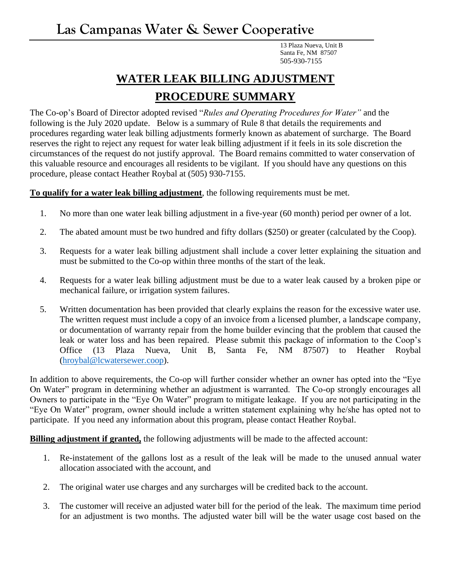13 Plaza Nueva, Unit B Santa Fe, NM 87507 505-930-7155

## **WATER LEAK BILLING ADJUSTMENT PROCEDURE SUMMARY**

The Co-op's Board of Director adopted revised "*Rules and Operating Procedures for Water"* and the following is the July 2020 update. Below is a summary of Rule 8 that details the requirements and procedures regarding water leak billing adjustments formerly known as abatement of surcharge. The Board reserves the right to reject any request for water leak billing adjustment if it feels in its sole discretion the circumstances of the request do not justify approval. The Board remains committed to water conservation of this valuable resource and encourages all residents to be vigilant. If you should have any questions on this procedure, please contact Heather Roybal at (505) 930-7155.

**To qualify for a water leak billing adjustment**, the following requirements must be met.

- 1. No more than one water leak billing adjustment in a five-year (60 month) period per owner of a lot.
- 2. The abated amount must be two hundred and fifty dollars (\$250) or greater (calculated by the Coop).
- 3. Requests for a water leak billing adjustment shall include a cover letter explaining the situation and must be submitted to the Co-op within three months of the start of the leak.
- 4. Requests for a water leak billing adjustment must be due to a water leak caused by a broken pipe or mechanical failure, or irrigation system failures.
- 5. Written documentation has been provided that clearly explains the reason for the excessive water use. The written request must include a copy of an invoice from a licensed plumber, a landscape company, or documentation of warranty repair from the home builder evincing that the problem that caused the leak or water loss and has been repaired. Please submit this package of information to the Coop's Office (13 Plaza Nueva, Unit B, Santa Fe, NM 87507) to Heather Roybal [\(hroybal@lcwatersewer.coop\)](mailto:hroybal@lcwatersewer.coop).

In addition to above requirements, the Co-op will further consider whether an owner has opted into the "Eye On Water" program in determining whether an adjustment is warranted. The Co-op strongly encourages all Owners to participate in the "Eye On Water" program to mitigate leakage. If you are not participating in the "Eye On Water" program, owner should include a written statement explaining why he/she has opted not to participate. If you need any information about this program, please contact Heather Roybal.

**Billing adjustment if granted,** the following adjustments will be made to the affected account:

- 1. Re-instatement of the gallons lost as a result of the leak will be made to the unused annual water allocation associated with the account, and
- 2. The original water use charges and any surcharges will be credited back to the account.
- 3. The customer will receive an adjusted water bill for the period of the leak. The maximum time period for an adjustment is two months. The adjusted water bill will be the water usage cost based on the